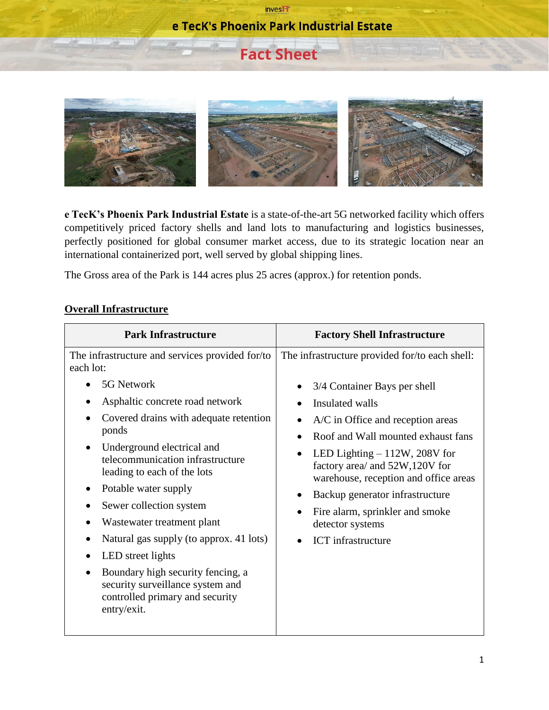# **invesTT** e TecK's Phoenix Park Industrial Estate

# **Fact Sheet**



**e TecK's Phoenix Park Industrial Estate** is a state-of-the-art 5G networked facility which offers competitively priced factory shells and land lots to manufacturing and logistics businesses, perfectly positioned for global consumer market access, due to its strategic location near an international containerized port, well served by global shipping lines.

The Gross area of the Park is 144 acres plus 25 acres (approx.) for retention ponds.

# **Overall Infrastructure**

| <b>Park Infrastructure</b>                                                                                                                                                                                                                                                                                                                                                                                           | <b>Factory Shell Infrastructure</b>                                                                                                                                                                                                                                                                                                                                                                                      |  |
|----------------------------------------------------------------------------------------------------------------------------------------------------------------------------------------------------------------------------------------------------------------------------------------------------------------------------------------------------------------------------------------------------------------------|--------------------------------------------------------------------------------------------------------------------------------------------------------------------------------------------------------------------------------------------------------------------------------------------------------------------------------------------------------------------------------------------------------------------------|--|
| The infrastructure and services provided for/to<br>each lot:<br>5G Network<br>Asphaltic concrete road network<br>Covered drains with adequate retention<br>٠<br>ponds<br>Underground electrical and<br>$\bullet$<br>telecommunication infrastructure<br>leading to each of the lots<br>Potable water supply<br>Sewer collection system<br>Wastewater treatment plant<br>Natural gas supply (to approx. 41 lots)<br>٠ | The infrastructure provided for/to each shell:<br>3/4 Container Bays per shell<br><b>Insulated walls</b><br>A/C in Office and reception areas<br>Roof and Wall mounted exhaust fans<br>LED Lighting $-112W$ , 208V for<br>factory area/ and 52W,120V for<br>warehouse, reception and office areas<br>Backup generator infrastructure<br>Fire alarm, sprinkler and smoke<br>detector systems<br><b>ICT</b> infrastructure |  |
| LED street lights<br>Boundary high security fencing, a<br>٠<br>security surveillance system and<br>controlled primary and security<br>entry/exit.                                                                                                                                                                                                                                                                    |                                                                                                                                                                                                                                                                                                                                                                                                                          |  |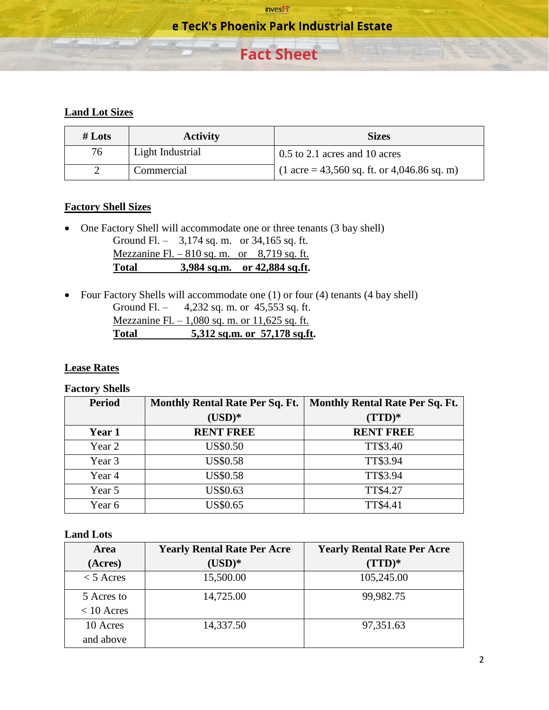# inves<sup>T</sup> e TecK's Phoenix Park Industrial Estate

**Fact Sheet** 

#### **Land Lot Sizes**

| # Lots | <b>Activity</b>  | <b>Sizes</b>                                                           |
|--------|------------------|------------------------------------------------------------------------|
| 76     | Light Industrial | $\vert$ 0.5 to 2.1 acres and 10 acres                                  |
|        | Commercial       | $(1 \text{ acre} = 43,560 \text{ sq. ft. or } 4,046.86 \text{ sq. m})$ |

#### **Factory Shell Sizes**

- One Factory Shell will accommodate one or three tenants (3 bay shell) Ground Fl. – 3,174 sq. m. or 34,165 sq. ft. Mezzanine Fl.  $-810$  sq. m. or  $8,719$  sq. ft. **Total 3,984 sq.m. or 42,884 sq.ft.**
- Four Factory Shells will accommodate one (1) or four (4) tenants (4 bay shell)

| Total          | 5,312 sq.m. or 57,178 sq.ft.                          |
|----------------|-------------------------------------------------------|
|                | <u>Mezzanine Fl. – 1,080 sq. m. or 11,625 sq. ft.</u> |
| Ground $Fl. –$ | 4,232 sq. m. or $45,553$ sq. ft.                      |

#### **Lease Rates**

#### **Factory Shells**

| <b>Period</b> | <b>Monthly Rental Rate Per Sq. Ft.</b> | <b>Monthly Rental Rate Per Sq. Ft.</b> |
|---------------|----------------------------------------|----------------------------------------|
|               | $(USD)*$                               | $(TTD)^*$                              |
| Year 1        | <b>RENT FREE</b>                       | <b>RENT FREE</b>                       |
| Year 2        | <b>US\$0.50</b>                        | TT\$3.40                               |
| Year 3        | <b>US\$0.58</b>                        | TT\$3.94                               |
| Year 4        | <b>US\$0.58</b>                        | TT\$3.94                               |
| Year 5        | <b>US\$0.63</b>                        | TT\$4.27                               |
| Year 6        | <b>US\$0.65</b>                        | TT\$4.41                               |

#### **Land Lots**

| Area         | <b>Yearly Rental Rate Per Acre</b> | <b>Yearly Rental Rate Per Acre</b> |
|--------------|------------------------------------|------------------------------------|
| (Acres)      | $(USD)^*$                          | $(TTD)^*$                          |
| $<$ 5 Acres  | 15,500.00                          | 105,245.00                         |
| 5 Acres to   | 14,725.00                          | 99,982.75                          |
| $<$ 10 Acres |                                    |                                    |
| 10 Acres     | 14,337.50                          | 97,351.63                          |
| and above    |                                    |                                    |